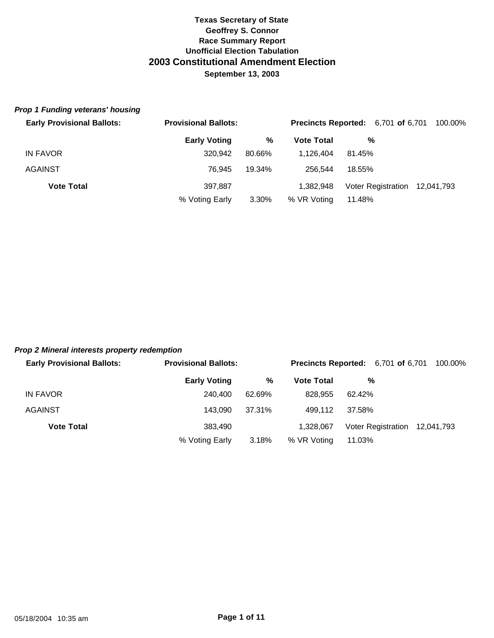#### *Prop 1 Funding veterans' housing*

| <b>Early Provisional Ballots:</b> | <b>Provisional Ballots:</b> |        | <b>Precincts Reported:</b> 6,701 of 6,701 |        |                               | 100.00% |
|-----------------------------------|-----------------------------|--------|-------------------------------------------|--------|-------------------------------|---------|
|                                   | <b>Early Voting</b>         | %      | <b>Vote Total</b>                         | %      |                               |         |
| IN FAVOR                          | 320,942                     | 80.66% | 1.126.404                                 | 81.45% |                               |         |
| <b>AGAINST</b>                    | 76.945                      | 19.34% | 256.544                                   | 18.55% |                               |         |
| <b>Vote Total</b>                 | 397.887                     |        | 1.382.948                                 |        | Voter Registration 12,041,793 |         |
|                                   | % Voting Early              | 3.30%  | % VR Voting                               | 11.48% |                               |         |

### *Prop 2 Mineral interests property redemption*

| <b>Early Provisional Ballots:</b> | <b>Provisional Ballots:</b> |        | <b>Precincts Reported:</b> 6,701 of 6,701 |        |                               | 100.00% |
|-----------------------------------|-----------------------------|--------|-------------------------------------------|--------|-------------------------------|---------|
|                                   | <b>Early Voting</b>         | %      | <b>Vote Total</b>                         |        | %                             |         |
| IN FAVOR                          | 240,400                     | 62.69% | 828.955                                   | 62.42% |                               |         |
| <b>AGAINST</b>                    | 143.090                     | 37.31% | 499.112                                   | 37.58% |                               |         |
| <b>Vote Total</b>                 | 383.490                     |        | 1.328.067                                 |        | Voter Registration 12,041,793 |         |
|                                   | % Voting Early              | 3.18%  | % VR Voting                               | 11.03% |                               |         |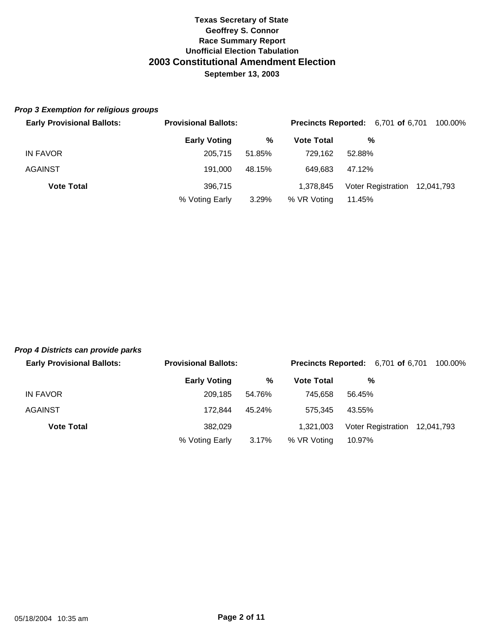#### *Prop 3 Exemption for religious groups*

| <b>Early Provisional Ballots:</b> | <b>Provisional Ballots:</b> |        |                   | <b>Precincts Reported:</b> 6,701 of 6,701 | 100.00% |  |
|-----------------------------------|-----------------------------|--------|-------------------|-------------------------------------------|---------|--|
|                                   | <b>Early Voting</b>         | %      | <b>Vote Total</b> | %                                         |         |  |
| IN FAVOR                          | 205.715                     | 51.85% | 729.162           | 52.88%                                    |         |  |
| <b>AGAINST</b>                    | 191.000                     | 48.15% | 649.683           | 47.12%                                    |         |  |
| <b>Vote Total</b>                 | 396.715                     |        | 1.378.845         | Voter Registration 12,041,793             |         |  |
|                                   | % Voting Early              | 3.29%  | % VR Voting       | 11.45%                                    |         |  |

# *Prop 4 Districts can provide parks*

| <b>Early Provisional Ballots:</b> | <b>Provisional Ballots:</b> |        | <b>Precincts Reported:</b> 6,701 of 6,701 |        |                               | 100.00% |
|-----------------------------------|-----------------------------|--------|-------------------------------------------|--------|-------------------------------|---------|
|                                   | <b>Early Voting</b>         | %      | <b>Vote Total</b>                         | %      |                               |         |
| IN FAVOR                          | 209.185                     | 54.76% | 745.658                                   | 56.45% |                               |         |
| <b>AGAINST</b>                    | 172.844                     | 45.24% | 575.345                                   | 43.55% |                               |         |
| <b>Vote Total</b>                 | 382.029                     |        | 1.321.003                                 |        | Voter Registration 12,041,793 |         |
|                                   | % Voting Early              | 3.17%  | % VR Voting                               | 10.97% |                               |         |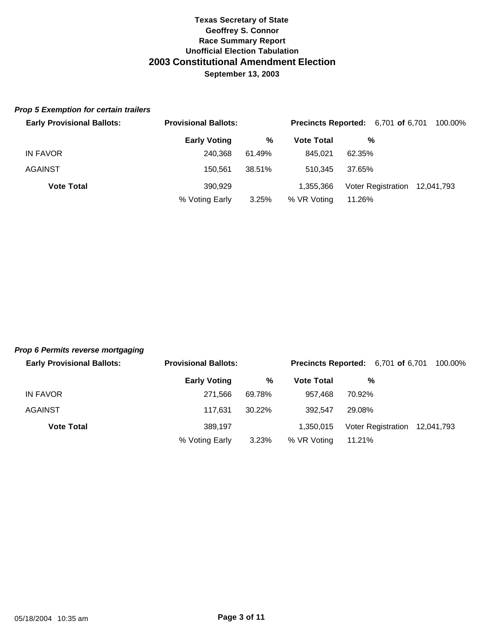#### *Prop 5 Exemption for certain trailers*

| <b>Early Provisional Ballots:</b> | <b>Provisional Ballots:</b> |        | <b>Precincts Reported:</b> 6,701 of 6,701 |        |                               | 100.00% |
|-----------------------------------|-----------------------------|--------|-------------------------------------------|--------|-------------------------------|---------|
|                                   | <b>Early Voting</b>         | ℅      | <b>Vote Total</b>                         |        | %                             |         |
| IN FAVOR                          | 240.368                     | 61.49% | 845.021                                   | 62.35% |                               |         |
| <b>AGAINST</b>                    | 150.561                     | 38.51% | 510.345                                   | 37.65% |                               |         |
| <b>Vote Total</b>                 | 390.929                     |        | 1.355.366                                 |        | Voter Registration 12,041,793 |         |
|                                   | % Voting Early              | 3.25%  | % VR Voting                               | 11.26% |                               |         |

## *Prop 6 Permits reverse mortgaging*

| <b>Early Provisional Ballots:</b> | <b>Provisional Ballots:</b> |        | <b>Precincts Reported:</b> 6,701 of 6,701 |        | 100.00%                       |
|-----------------------------------|-----------------------------|--------|-------------------------------------------|--------|-------------------------------|
|                                   | <b>Early Voting</b>         | %      | <b>Vote Total</b>                         | %      |                               |
| IN FAVOR                          | 271.566                     | 69.78% | 957.468                                   | 70.92% |                               |
| <b>AGAINST</b>                    | 117.631                     | 30.22% | 392.547                                   | 29.08% |                               |
| <b>Vote Total</b>                 | 389.197                     |        | 1.350.015                                 |        | Voter Registration 12,041,793 |
|                                   | % Voting Early              | 3.23%  | % VR Voting                               | 11.21% |                               |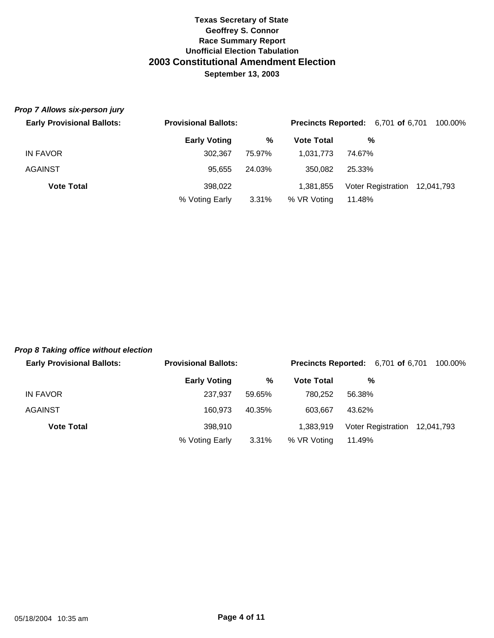#### *Prop 7 Allows six-person jury*

| <b>Early Provisional Ballots:</b> | <b>Provisional Ballots:</b> |        | <b>Precincts Reported:</b> 6,701 of 6,701 |        |                               | 100.00% |
|-----------------------------------|-----------------------------|--------|-------------------------------------------|--------|-------------------------------|---------|
|                                   | <b>Early Voting</b>         | %      | <b>Vote Total</b>                         | %      |                               |         |
| IN FAVOR                          | 302.367                     | 75.97% | 1.031.773                                 | 74.67% |                               |         |
| <b>AGAINST</b>                    | 95.655                      | 24.03% | 350.082                                   | 25.33% |                               |         |
| <b>Vote Total</b>                 | 398.022                     |        | 1,381,855                                 |        | Voter Registration 12,041,793 |         |
|                                   | % Voting Early              | 3.31%  | % VR Voting                               | 11.48% |                               |         |

#### *Prop 8 Taking office without election*

| <b>Early Provisional Ballots:</b> | <b>Provisional Ballots:</b> |        | <b>Precincts Reported:</b> 6,701 of 6,701 |        |                               | 100.00% |
|-----------------------------------|-----------------------------|--------|-------------------------------------------|--------|-------------------------------|---------|
|                                   | <b>Early Voting</b>         | %      | <b>Vote Total</b>                         | %      |                               |         |
| IN FAVOR                          | 237.937                     | 59.65% | 780.252                                   | 56.38% |                               |         |
| <b>AGAINST</b>                    | 160.973                     | 40.35% | 603.667                                   | 43.62% |                               |         |
| <b>Vote Total</b>                 | 398,910                     |        | 1.383.919                                 |        | Voter Registration 12,041,793 |         |
|                                   | % Voting Early              | 3.31%  | % VR Voting                               | 11.49% |                               |         |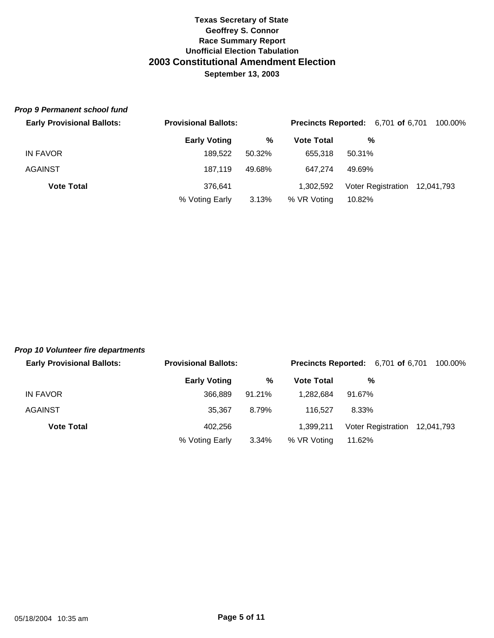#### *Prop 9 Permanent school fund*

| <b>Early Provisional Ballots:</b> | <b>Provisional Ballots:</b> |        |                   | <b>Precincts Reported:</b> 6,701 of 6,701 | 100.00% |
|-----------------------------------|-----------------------------|--------|-------------------|-------------------------------------------|---------|
|                                   | <b>Early Voting</b>         | %      | <b>Vote Total</b> | %                                         |         |
| <b>IN FAVOR</b>                   | 189.522                     | 50.32% | 655.318           | 50.31%                                    |         |
| <b>AGAINST</b>                    | 187.119                     | 49.68% | 647.274           | 49.69%                                    |         |
| <b>Vote Total</b>                 | 376.641                     |        | 1,302,592         | Voter Registration 12,041,793             |         |
|                                   | % Voting Early              | 3.13%  | % VR Voting       | 10.82%                                    |         |

#### *Prop 10 Volunteer fire departments*

| <b>Early Provisional Ballots:</b> | <b>Provisional Ballots:</b> |        | <b>Precincts Reported:</b> 6,701 of 6,701 |        | 100.00%                       |
|-----------------------------------|-----------------------------|--------|-------------------------------------------|--------|-------------------------------|
|                                   | <b>Early Voting</b>         | %      | <b>Vote Total</b>                         | %      |                               |
| IN FAVOR                          | 366,889                     | 91.21% | 1.282.684                                 | 91.67% |                               |
| <b>AGAINST</b>                    | 35,367                      | 8.79%  | 116.527                                   | 8.33%  |                               |
| <b>Vote Total</b>                 | 402.256                     |        | 1.399.211                                 |        | Voter Registration 12,041,793 |
|                                   | % Voting Early              | 3.34%  | % VR Voting                               | 11.62% |                               |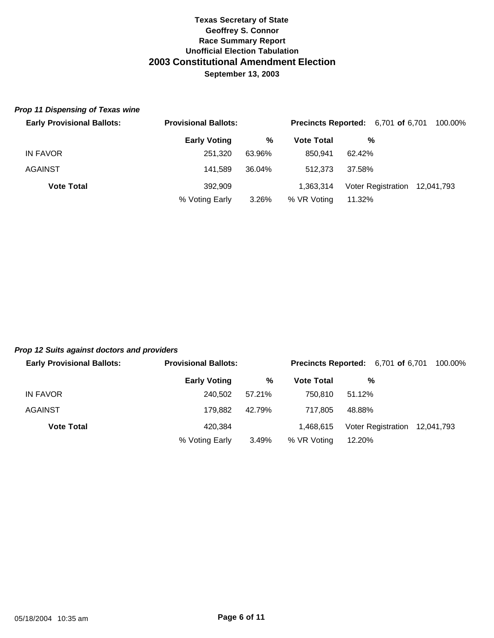#### *Prop 11 Dispensing of Texas wine*

| <b>Early Provisional Ballots:</b> | <b>Provisional Ballots:</b> |        | <b>Precincts Reported:</b> 6,701 of 6,701 |        | 100.00%                       |  |
|-----------------------------------|-----------------------------|--------|-------------------------------------------|--------|-------------------------------|--|
|                                   | <b>Early Voting</b>         | %      | <b>Vote Total</b>                         | %      |                               |  |
| IN FAVOR                          | 251.320                     | 63.96% | 850.941                                   | 62.42% |                               |  |
| AGAINST                           | 141.589                     | 36.04% | 512,373                                   | 37.58% |                               |  |
| <b>Vote Total</b>                 | 392,909                     |        | 1.363.314                                 |        | Voter Registration 12,041,793 |  |
|                                   | % Voting Early              | 3.26%  | % VR Voting                               | 11.32% |                               |  |

# *Prop 12 Suits against doctors and providers*

| <b>Early Provisional Ballots:</b> | <b>Provisional Ballots:</b> |        | <b>Precincts Reported:</b> 6,701 of 6,701 |        | 100.00%                       |
|-----------------------------------|-----------------------------|--------|-------------------------------------------|--------|-------------------------------|
|                                   | <b>Early Voting</b>         | %      | <b>Vote Total</b>                         | %      |                               |
| IN FAVOR                          | 240.502                     | 57.21% | 750.810                                   | 51.12% |                               |
| <b>AGAINST</b>                    | 179.882                     | 42.79% | 717.805                                   | 48.88% |                               |
| <b>Vote Total</b>                 | 420.384                     |        | 1.468.615                                 |        | Voter Registration 12,041,793 |
|                                   | % Voting Early              | 3.49%  | % VR Voting                               | 12.20% |                               |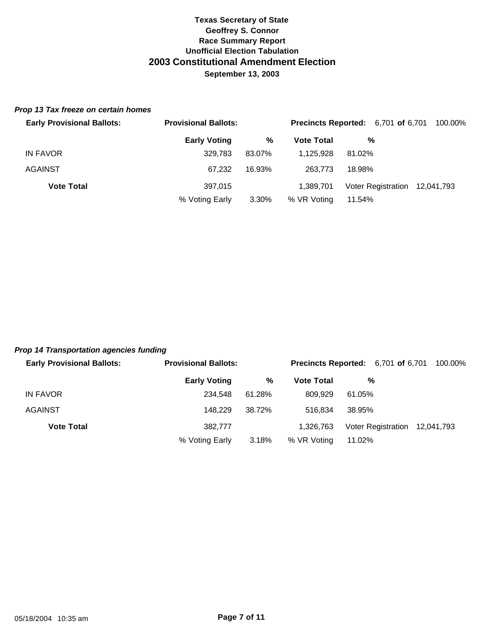#### *Prop 13 Tax freeze on certain homes*

| <b>Early Provisional Ballots:</b> | <b>Provisional Ballots:</b> |        | <b>Precincts Reported:</b> 6,701 of 6,701 |        |                               | 100.00% |
|-----------------------------------|-----------------------------|--------|-------------------------------------------|--------|-------------------------------|---------|
|                                   | <b>Early Voting</b>         | %      | <b>Vote Total</b>                         | %      |                               |         |
| IN FAVOR                          | 329.783                     | 83.07% | 1.125.928                                 | 81.02% |                               |         |
| <b>AGAINST</b>                    | 67.232                      | 16.93% | 263,773                                   | 18.98% |                               |         |
| <b>Vote Total</b>                 | 397.015                     |        | 1.389.701                                 |        | Voter Registration 12,041,793 |         |
|                                   | % Voting Early              | 3.30%  | % VR Voting                               | 11.54% |                               |         |

## *Prop 14 Transportation agencies funding*

| <b>Early Provisional Ballots:</b> | <b>Provisional Ballots:</b> |        |                   | <b>Precincts Reported:</b> 6,701 of 6,701<br>100.00% |
|-----------------------------------|-----------------------------|--------|-------------------|------------------------------------------------------|
|                                   | <b>Early Voting</b>         | %      | <b>Vote Total</b> | %                                                    |
| IN FAVOR                          | 234.548                     | 61.28% | 809.929           | 61.05%                                               |
| <b>AGAINST</b>                    | 148.229                     | 38.72% | 516.834           | 38.95%                                               |
| <b>Vote Total</b>                 | 382,777                     |        | 1.326.763         | Voter Registration 12,041,793                        |
|                                   | % Voting Early              | 3.18%  | % VR Voting       | 11.02%                                               |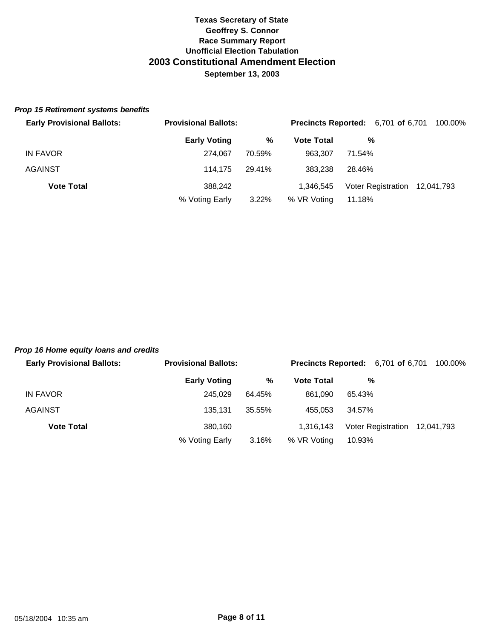#### *Prop 15 Retirement systems benefits*

| <b>Early Provisional Ballots:</b> | <b>Provisional Ballots:</b> |          |                   | <b>Precincts Reported:</b> 6,701 of 6,701 | 100.00% |
|-----------------------------------|-----------------------------|----------|-------------------|-------------------------------------------|---------|
|                                   | <b>Early Voting</b>         | %        | <b>Vote Total</b> | %                                         |         |
| IN FAVOR                          | 274.067                     | 70.59%   | 963.307           | 71.54%                                    |         |
| <b>AGAINST</b>                    | 114.175                     | 29.41%   | 383.238           | 28.46%                                    |         |
| <b>Vote Total</b>                 | 388.242                     |          | 1.346.545         | Voter Registration 12,041,793             |         |
|                                   | % Voting Early              | $3.22\%$ | % VR Voting       | 11.18%                                    |         |

#### *Prop 16 Home equity loans and credits*

| <b>Early Provisional Ballots:</b> | <b>Provisional Ballots:</b> |        | <b>Precincts Reported:</b> 6,701 of 6,701 |        |                               | 100.00% |
|-----------------------------------|-----------------------------|--------|-------------------------------------------|--------|-------------------------------|---------|
|                                   | <b>Early Voting</b>         | %      | <b>Vote Total</b>                         |        | %                             |         |
| IN FAVOR                          | 245.029                     | 64.45% | 861.090                                   | 65.43% |                               |         |
| <b>AGAINST</b>                    | 135.131                     | 35.55% | 455.053                                   | 34.57% |                               |         |
| <b>Vote Total</b>                 | 380.160                     |        | 1.316.143                                 |        | Voter Registration 12,041,793 |         |
|                                   | % Voting Early              | 3.16%  | % VR Voting                               | 10.93% |                               |         |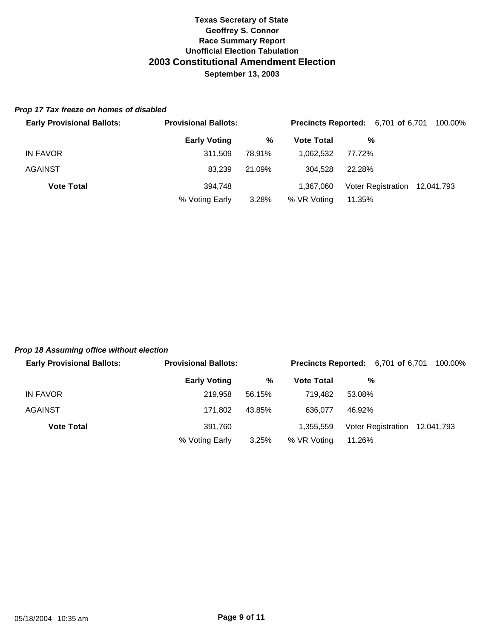#### *Prop 17 Tax freeze on homes of disabled*

| <b>Early Provisional Ballots:</b> | <b>Provisional Ballots:</b> |        | <b>Precincts Reported:</b> 6,701 of 6,701 |        |                               | 100.00% |  |
|-----------------------------------|-----------------------------|--------|-------------------------------------------|--------|-------------------------------|---------|--|
|                                   | <b>Early Voting</b>         | %      | <b>Vote Total</b>                         | %      |                               |         |  |
| IN FAVOR                          | 311.509                     | 78.91% | 1.062.532                                 | 77.72% |                               |         |  |
| <b>AGAINST</b>                    | 83.239                      | 21.09% | 304.528                                   | 22.28% |                               |         |  |
| <b>Vote Total</b>                 | 394.748                     |        | 1.367.060                                 |        | Voter Registration 12,041,793 |         |  |
|                                   | % Voting Early              | 3.28%  | % VR Voting                               | 11.35% |                               |         |  |

#### *Prop 18 Assuming office without election*

| <b>Early Provisional Ballots:</b> | <b>Provisional Ballots:</b> |        | <b>Precincts Reported:</b> 6,701 of 6,701 |        |                               | 100.00% |
|-----------------------------------|-----------------------------|--------|-------------------------------------------|--------|-------------------------------|---------|
|                                   | <b>Early Voting</b>         | %      | <b>Vote Total</b>                         | %      |                               |         |
| IN FAVOR                          | 219.958                     | 56.15% | 719.482                                   | 53.08% |                               |         |
| <b>AGAINST</b>                    | 171.802                     | 43.85% | 636.077                                   | 46.92% |                               |         |
| <b>Vote Total</b>                 | 391.760                     |        | 1.355.559                                 |        | Voter Registration 12,041,793 |         |
|                                   | % Voting Early              | 3.25%  | % VR Voting                               | 11.26% |                               |         |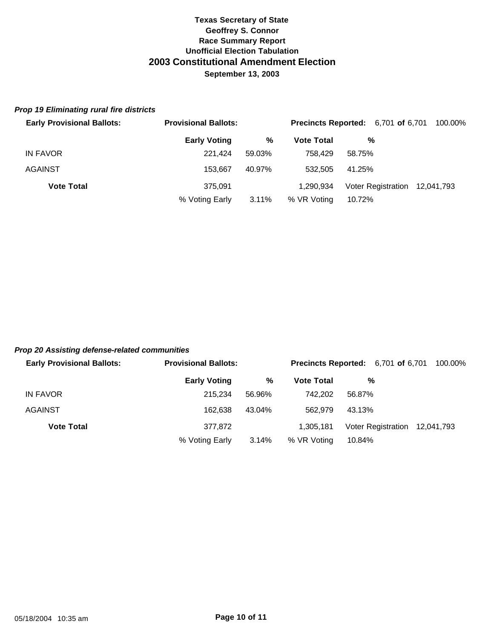#### *Prop 19 Eliminating rural fire districts*

| <b>Early Provisional Ballots:</b> | <b>Provisional Ballots:</b> |          | <b>Precincts Reported:</b> 6,701 of 6,701 |        |                               | 100.00% |
|-----------------------------------|-----------------------------|----------|-------------------------------------------|--------|-------------------------------|---------|
|                                   | <b>Early Voting</b>         | %        | <b>Vote Total</b>                         | %      |                               |         |
| IN FAVOR                          | 221.424                     | 59.03%   | 758.429                                   | 58.75% |                               |         |
| <b>AGAINST</b>                    | 153.667                     | 40.97%   | 532,505                                   | 41.25% |                               |         |
| <b>Vote Total</b>                 | 375.091                     |          | 1.290.934                                 |        | Voter Registration 12,041,793 |         |
|                                   | % Voting Early              | $3.11\%$ | % VR Voting                               | 10.72% |                               |         |

### *Prop 20 Assisting defense-related communities*

| <b>Early Provisional Ballots:</b> | <b>Provisional Ballots:</b> |        | <b>Precincts Reported:</b> 6,701 of 6,701 |        |                               | 100.00% |
|-----------------------------------|-----------------------------|--------|-------------------------------------------|--------|-------------------------------|---------|
|                                   | <b>Early Voting</b>         | %      | <b>Vote Total</b>                         |        | %                             |         |
| IN FAVOR                          | 215.234                     | 56.96% | 742.202                                   | 56.87% |                               |         |
| <b>AGAINST</b>                    | 162.638                     | 43.04% | 562,979                                   | 43.13% |                               |         |
| <b>Vote Total</b>                 | 377,872                     |        | 1.305.181                                 |        | Voter Registration 12,041,793 |         |
|                                   | % Voting Early              | 3.14%  | % VR Voting                               | 10.84% |                               |         |